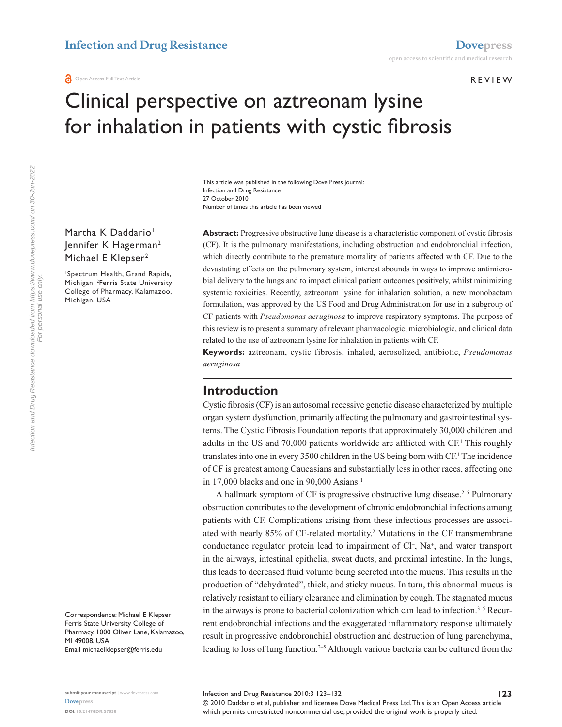#### REVIEW

# Clinical perspective on aztreonam lysine for inhalation in patients with cystic fibrosis

Number of times this article has been viewed This article was published in the following Dove Press journal: Infection and Drug Resistance 27 October 2010

Martha K Daddario<sup>1</sup> Jennifer K Hagerman2 Michael E Klepser<sup>2</sup>

1 Spectrum Health, Grand Rapids, Michigan; <sup>2</sup>Ferris State University College of Pharmacy, Kalamazoo, Michigan, USA

> this review is to present a summary of relevant pharmacologic, microbiologic, and clinical data related to the use of aztreonam lysine for inhalation in patients with CF. **Keywords:** aztreonam, cystic fibrosis, inhaled, aerosolized, antibiotic, *Pseudomonas*

> **Abstract:** Progressive obstructive lung disease is a characteristic component of cystic fibrosis (CF). It is the pulmonary manifestations, including obstruction and endobronchial infection, which directly contribute to the premature mortality of patients affected with CF. Due to the devastating effects on the pulmonary system, interest abounds in ways to improve antimicrobial delivery to the lungs and to impact clinical patient outcomes positively, whilst minimizing systemic toxicities. Recently, aztreonam lysine for inhalation solution, a new monobactam formulation, was approved by the US Food and Drug Administration for use in a subgroup of CF patients with *Pseudomonas aeruginosa* to improve respiratory symptoms. The purpose of

## **Introduction**

*aeruginosa*

Cystic fibrosis (CF) is an autosomal recessive genetic disease characterized by multiple organ system dysfunction, primarily affecting the pulmonary and gastrointestinal systems. The Cystic Fibrosis Foundation reports that approximately 30,000 children and adults in the US and 70,000 patients worldwide are afflicted with CF.<sup>1</sup> This roughly translates into one in every 3500 children in the US being born with CF.<sup>1</sup> The incidence of CF is greatest among Caucasians and substantially less in other races, affecting one in 17,000 blacks and one in  $90,000$  Asians.<sup>1</sup>

A hallmark symptom of CF is progressive obstructive lung disease.<sup>2-5</sup> Pulmonary obstruction contributes to the development of chronic endobronchial infections among patients with CF. Complications arising from these infectious processes are associated with nearly 85% of CF-related mortality.2 Mutations in the CF transmembrane conductance regulator protein lead to impairment of Cl<sup>-</sup>, Na<sup>+</sup>, and water transport in the airways, intestinal epithelia, sweat ducts, and proximal intestine. In the lungs, this leads to decreased fluid volume being secreted into the mucus. This results in the production of "dehydrated", thick, and sticky mucus. In turn, this abnormal mucus is relatively resistant to ciliary clearance and elimination by cough. The stagnated mucus in the airways is prone to bacterial colonization which can lead to infection. $3-5$  Recurrent endobronchial infections and the exaggerated inflammatory response ultimately result in progressive endobronchial obstruction and destruction of lung parenchyma, leading to loss of lung function.<sup>2-5</sup> Although various bacteria can be cultured from the

Correspondence: Michael E Klepser Ferris State University College of Pharmacy, 1000 Oliver Lane, Kalamazoo, MI 49008, USA Email michaelklepser@ferris.edu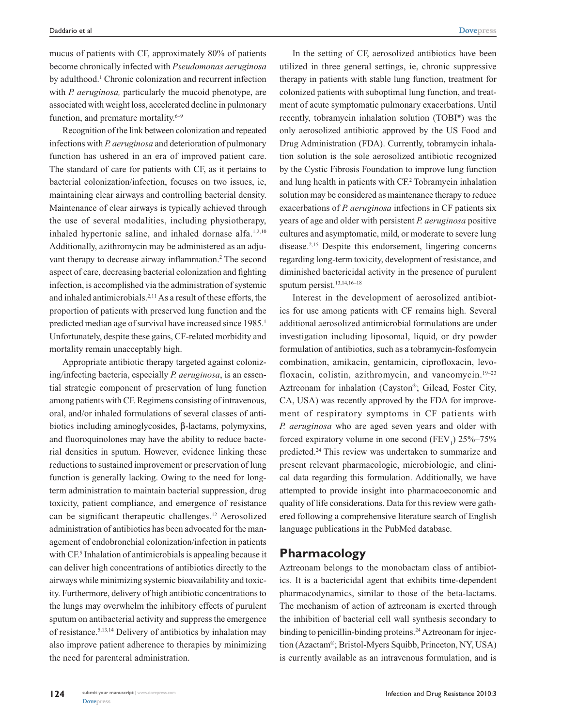mucus of patients with CF, approximately 80% of patients become chronically infected with *Pseudomonas aeruginosa* by adulthood.<sup>1</sup> Chronic colonization and recurrent infection with *P. aeruginosa,* particularly the mucoid phenotype, are associated with weight loss, accelerated decline in pulmonary function, and premature mortality.<sup>6-9</sup>

Recognition of the link between colonization and repeated infections with *P. aeruginosa* and deterioration of pulmonary function has ushered in an era of improved patient care. The standard of care for patients with CF, as it pertains to bacterial colonization/infection, focuses on two issues, ie, maintaining clear airways and controlling bacterial density. Maintenance of clear airways is typically achieved through the use of several modalities, including physiotherapy, inhaled hypertonic saline, and inhaled dornase alfa.<sup>1,2,10</sup> Additionally, azithromycin may be administered as an adjuvant therapy to decrease airway inflammation.<sup>2</sup> The second aspect of care, decreasing bacterial colonization and fighting infection, is accomplished via the administration of systemic and inhaled antimicrobials.2,11 As a result of these efforts, the proportion of patients with preserved lung function and the predicted median age of survival have increased since 1985.<sup>1</sup> Unfortunately, despite these gains, CF-related morbidity and mortality remain unacceptably high.

Appropriate antibiotic therapy targeted against colonizing/infecting bacteria, especially *P. aeruginosa*, is an essential strategic component of preservation of lung function among patients with CF. Regimens consisting of intravenous, oral, and/or inhaled formulations of several classes of antibiotics including aminoglycosides, β-lactams, polymyxins, and fluoroquinolones may have the ability to reduce bacterial densities in sputum. However, evidence linking these reductions to sustained improvement or preservation of lung function is generally lacking. Owing to the need for longterm administration to maintain bacterial suppression, drug toxicity, patient compliance, and emergence of resistance can be significant therapeutic challenges.12 Aerosolized administration of antibiotics has been advocated for the management of endobronchial colonization/infection in patients with CF<sup>5</sup> Inhalation of antimicrobials is appealing because it can deliver high concentrations of antibiotics directly to the airways while minimizing systemic bioavailability and toxicity. Furthermore, delivery of high antibiotic concentrations to the lungs may overwhelm the inhibitory effects of purulent sputum on antibacterial activity and suppress the emergence of resistance.5,13,14 Delivery of antibiotics by inhalation may also improve patient adherence to therapies by minimizing the need for parenteral administration.

In the setting of CF, aerosolized antibiotics have been utilized in three general settings, ie, chronic suppressive therapy in patients with stable lung function, treatment for colonized patients with suboptimal lung function, and treatment of acute symptomatic pulmonary exacerbations. Until recently, tobramycin inhalation solution (TOBI®) was the only aerosolized antibiotic approved by the US Food and Drug Administration (FDA). Currently, tobramycin inhalation solution is the sole aerosolized antibiotic recognized by the Cystic Fibrosis Foundation to improve lung function and lung health in patients with CF.2 Tobramycin inhalation solution may be considered as maintenance therapy to reduce exacerbations of *P. aeruginosa* infections in CF patients six years of age and older with persistent *P. aeruginosa* positive cultures and asymptomatic, mild, or moderate to severe lung disease.2,15 Despite this endorsement, lingering concerns regarding long-term toxicity, development of resistance, and diminished bactericidal activity in the presence of purulent sputum persist.13,14,16–18

Interest in the development of aerosolized antibiotics for use among patients with CF remains high. Several additional aerosolized antimicrobial formulations are under investigation including liposomal, liquid, or dry powder formulation of antibiotics, such as a tobramycin-fosfomycin combination, amikacin, gentamicin, ciprofloxacin, levofloxacin, colistin, azithromycin, and vancomycin.<sup>19-23</sup> Aztreonam for inhalation (Cayston®; Gilead, Foster City, CA, USA) was recently approved by the FDA for improvement of respiratory symptoms in CF patients with *P. aeruginosa* who are aged seven years and older with forced expiratory volume in one second  $(FEV_1)$  25%–75% predicted.24 This review was undertaken to summarize and present relevant pharmacologic, microbiologic, and clinical data regarding this formulation. Additionally, we have attempted to provide insight into pharmacoeconomic and quality of life considerations. Data for this review were gathered following a comprehensive literature search of English language publications in the PubMed database.

## **Pharmacology**

Aztreonam belongs to the monobactam class of antibiotics. It is a bactericidal agent that exhibits time-dependent pharmacodynamics, similar to those of the beta-lactams. The mechanism of action of aztreonam is exerted through the inhibition of bacterial cell wall synthesis secondary to binding to penicillin-binding proteins.<sup>24</sup> Aztreonam for injection (Azactam®; Bristol-Myers Squibb, Princeton, NY, USA) is currently available as an intravenous formulation, and is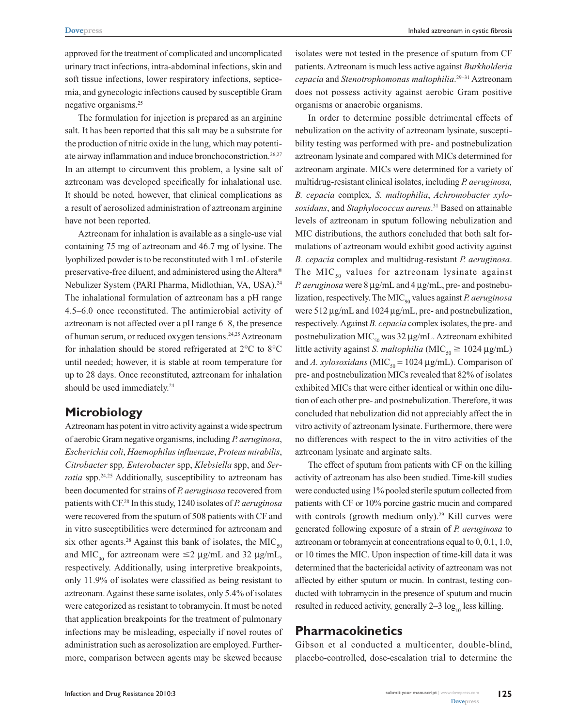approved for the treatment of complicated and uncomplicated urinary tract infections, intra-abdominal infections, skin and soft tissue infections, lower respiratory infections, septicemia, and gynecologic infections caused by susceptible Gram negative organisms.25

The formulation for injection is prepared as an arginine salt. It has been reported that this salt may be a substrate for the production of nitric oxide in the lung, which may potentiate airway inflammation and induce bronchoconstriction.<sup>26,27</sup> In an attempt to circumvent this problem, a lysine salt of aztreonam was developed specifically for inhalational use. It should be noted, however, that clinical complications as a result of aerosolized administration of aztreonam arginine have not been reported.

Aztreonam for inhalation is available as a single-use vial containing 75 mg of aztreonam and 46.7 mg of lysine. The lyophilized powder is to be reconstituted with 1 mL of sterile preservative-free diluent, and administered using the Altera® Nebulizer System (PARI Pharma, Midlothian, VA, USA).24 The inhalational formulation of aztreonam has a pH range 4.5–6.0 once reconstituted. The antimicrobial activity of aztreonam is not affected over a pH range 6–8, the presence of human serum, or reduced oxygen tensions.24,25 Aztreonam for inhalation should be stored refrigerated at 2°C to 8°C until needed; however, it is stable at room temperature for up to 28 days. Once reconstituted, aztreonam for inhalation should be used immediately.<sup>24</sup>

# **Microbiology**

Aztreonam has potent in vitro activity against a wide spectrum of aerobic Gram negative organisms, including *P. aeruginosa*, *Escherichia coli*, *Haemophilus influenzae*, *Proteus mirabilis*, *Citrobacter* spp*, Enterobacter* spp, *Klebsiella* spp, and *Serratia* spp.<sup>24,25</sup> Additionally, susceptibility to aztreonam has been documented for strains of *P. aeruginosa* recovered from patients with CF.28 In this study, 1240 isolates of *P. aeruginosa* were recovered from the sputum of 508 patients with CF and in vitro susceptibilities were determined for aztreonam and six other agents.<sup>28</sup> Against this bank of isolates, the MIC<sub>50</sub> and MIC<sub>on</sub> for aztreonam were  $\leq$ 2 µg/mL and 32 µg/mL, respectively. Additionally, using interpretive breakpoints, only 11.9% of isolates were classified as being resistant to aztreonam. Against these same isolates, only 5.4% of isolates were categorized as resistant to tobramycin. It must be noted that application breakpoints for the treatment of pulmonary infections may be misleading, especially if novel routes of administration such as aerosolization are employed. Furthermore, comparison between agents may be skewed because

isolates were not tested in the presence of sputum from CF patients. Aztreonam is much less active against *Burkholderia cepacia* and *Stenotrophomonas maltophilia*. 29–31 Aztreonam does not possess activity against aerobic Gram positive organisms or anaerobic organisms.

In order to determine possible detrimental effects of nebulization on the activity of aztreonam lysinate, susceptibility testing was performed with pre- and postnebulization aztreonam lysinate and compared with MICs determined for aztreonam arginate. MICs were determined for a variety of multidrug-resistant clinical isolates, including *P. aeruginosa, B. cepacia* complex*, S. maltophilia*, *Achromobacter xylosoxidans*, and *Staphylococcus aureus*. 31 Based on attainable levels of aztreonam in sputum following nebulization and MIC distributions, the authors concluded that both salt formulations of aztreonam would exhibit good activity against *B. cepacia* complex and multidrug-resistant *P. aeruginosa*. The MIC<sub>50</sub> values for aztreonam lysinate against *P. aeruginosa* were 8 µg/mL and 4 µg/mL, pre- and postnebulization, respectively. The MIC<sub>90</sub> values against *P. aeruginosa* were 512 µg/mL and 1024 µg/mL, pre- and postnebulization, respectively. Against *B. cepacia* complex isolates, the pre- and postnebulization MIC<sub>50</sub> was 32 µg/mL. Aztreonam exhibited little activity against *S. maltophilia* (MIC<sub>50</sub>  $\geq$  1024  $\mu$ g/mL) and *A. xylosoxidans* (MIC<sub>50</sub> = 1024  $\mu$ g/mL). Comparison of pre- and postnebulization MICs revealed that 82% of isolates exhibited MICs that were either identical or within one dilution of each other pre- and postnebulization. Therefore, it was concluded that nebulization did not appreciably affect the in vitro activity of aztreonam lysinate. Furthermore, there were no differences with respect to the in vitro activities of the aztreonam lysinate and arginate salts.

The effect of sputum from patients with CF on the killing activity of aztreonam has also been studied. Time-kill studies were conducted using 1% pooled sterile sputum collected from patients with CF or 10% porcine gastric mucin and compared with controls (growth medium only).<sup>29</sup> Kill curves were generated following exposure of a strain of *P. aeruginosa* to aztreonam or tobramycin at concentrations equal to 0, 0.1, 1.0, or 10 times the MIC. Upon inspection of time-kill data it was determined that the bactericidal activity of aztreonam was not affected by either sputum or mucin. In contrast, testing conducted with tobramycin in the presence of sputum and mucin resulted in reduced activity, generally  $2-3 \log_{10} \text{less killing.}$ 

# **Pharmacokinetics**

Gibson et al conducted a multicenter, double-blind, placebo-controlled, dose-escalation trial to determine the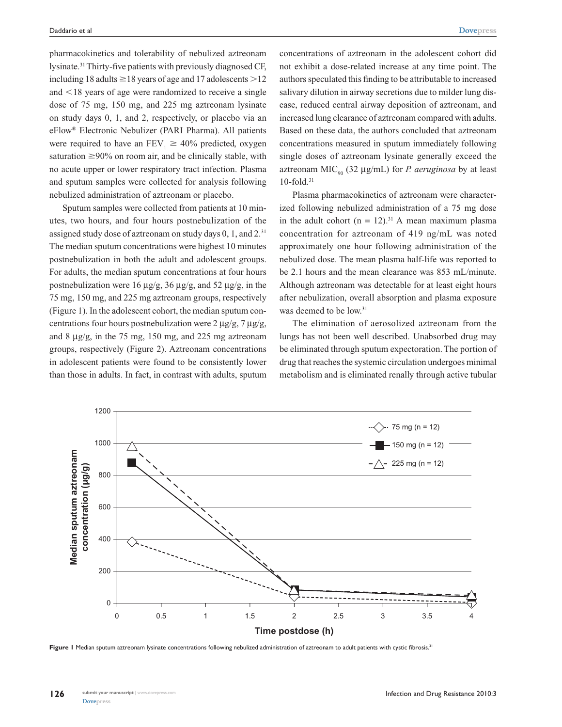pharmacokinetics and tolerability of nebulized aztreonam lysinate.31 Thirty-five patients with previously diagnosed CF, including 18 adults  $\geq 18$  years of age and 17 adolescents  $>12$ and  $\leq$ 18 years of age were randomized to receive a single dose of 75 mg, 150 mg, and 225 mg aztreonam lysinate on study days 0, 1, and 2, respectively, or placebo via an eFlow® Electronic Nebulizer (PARI Pharma). All patients were required to have an FEV<sub>1</sub>  $\geq$  40% predicted, oxygen saturation  $\geq$ 90% on room air, and be clinically stable, with no acute upper or lower respiratory tract infection. Plasma and sputum samples were collected for analysis following nebulized administration of aztreonam or placebo.

Sputum samples were collected from patients at 10 minutes, two hours, and four hours postnebulization of the assigned study dose of aztreonam on study days 0, 1, and 2.31 The median sputum concentrations were highest 10 minutes postnebulization in both the adult and adolescent groups. For adults, the median sputum concentrations at four hours postnebulization were 16  $\mu$ g/g, 36  $\mu$ g/g, and 52  $\mu$ g/g, in the 75 mg, 150 mg, and 225 mg aztreonam groups, respectively (Figure 1). In the adolescent cohort, the median sputum concentrations four hours postnebulization were  $2 \mu g/g$ ,  $7 \mu g/g$ , and 8  $\mu$ g/g, in the 75 mg, 150 mg, and 225 mg aztreonam groups, respectively (Figure 2). Aztreonam concentrations in adolescent patients were found to be consistently lower than those in adults. In fact, in contrast with adults, sputum

concentrations of aztreonam in the adolescent cohort did not exhibit a dose-related increase at any time point. The authors speculated this finding to be attributable to increased salivary dilution in airway secretions due to milder lung disease, reduced central airway deposition of aztreonam, and increased lung clearance of aztreonam compared with adults. Based on these data, the authors concluded that aztreonam concentrations measured in sputum immediately following single doses of aztreonam lysinate generally exceed the aztreonam MIC<sub>90</sub> (32  $\mu$ g/mL) for *P. aeruginosa* by at least  $10$ -fold. $31$ 

Plasma pharmacokinetics of aztreonam were characterized following nebulized administration of a 75 mg dose in the adult cohort  $(n = 12)^{31}$  A mean maximum plasma concentration for aztreonam of 419 ng/mL was noted approximately one hour following administration of the nebulized dose. The mean plasma half-life was reported to be 2.1 hours and the mean clearance was 853 mL/minute. Although aztreonam was detectable for at least eight hours after nebulization, overall absorption and plasma exposure was deemed to be low.<sup>31</sup>

The elimination of aerosolized aztreonam from the lungs has not been well described. Unabsorbed drug may be eliminated through sputum expectoration. The portion of drug that reaches the systemic circulation undergoes minimal metabolism and is eliminated renally through active tubular



Figure I Median sputum aztreonam lysinate concentrations following nebulized administration of aztreonam to adult patients with cystic fibrosis.<sup>31</sup>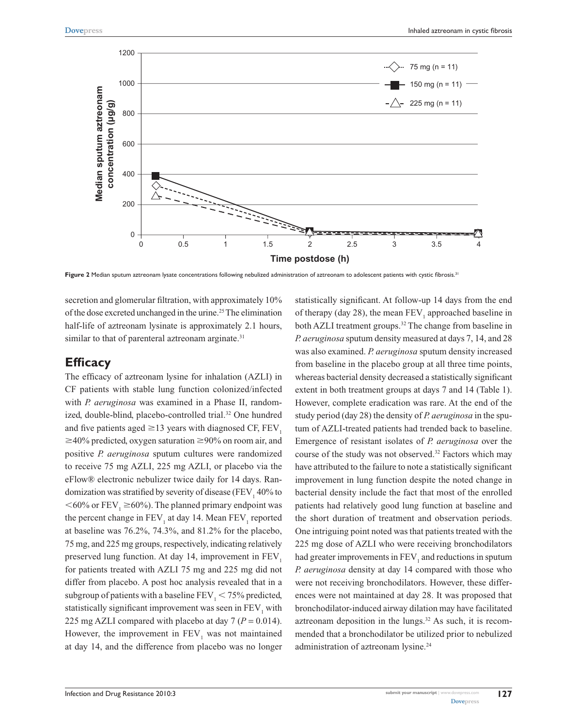

Figure 2 Median sputum aztreonam lysate concentrations following nebulized administration of aztreonam to adolescent patients with cystic fibrosis.<sup>31</sup>

secretion and glomerular filtration, with approximately 10% of the dose excreted unchanged in the urine.<sup>25</sup> The elimination half-life of aztreonam lysinate is approximately 2.1 hours, similar to that of parenteral aztreonam arginate.<sup>31</sup>

#### **Efficacy**

The efficacy of aztreonam lysine for inhalation (AZLI) in CF patients with stable lung function colonized/infected with *P. aeruginosa* was examined in a Phase II, randomized, double-blind, placebo-controlled trial.<sup>32</sup> One hundred and five patients aged  $\geq$  13 years with diagnosed CF, FEV<sub>1</sub>  $\geq 40\%$  predicted, oxygen saturation  $\geq 90\%$  on room air, and positive *P. aeruginosa* sputum cultures were randomized to receive 75 mg AZLI, 225 mg AZLI, or placebo via the eFlow® electronic nebulizer twice daily for 14 days. Randomization was stratified by severity of disease (FEV $_1$  40% to  $<$  60% or FEV<sub>1</sub>  $\geq$  60%). The planned primary endpoint was the percent change in  $\text{FEV}_1$  at day 14. Mean  $\text{FEV}_1$  reported at baseline was 76.2%, 74.3%, and 81.2% for the placebo, 75 mg, and 225 mg groups, respectively, indicating relatively preserved lung function. At day 14, improvement in  $FEV<sub>1</sub>$ for patients treated with AZLI 75 mg and 225 mg did not differ from placebo. A post hoc analysis revealed that in a subgroup of patients with a baseline  $FEV<sub>1</sub> < 75%$  predicted, statistically significant improvement was seen in  $\rm{FEV_{1}}$  with 225 mg AZLI compared with placebo at day  $7 (P = 0.014)$ . However, the improvement in  $\text{FEV}_1$  was not maintained at day 14, and the difference from placebo was no longer

statistically significant. At follow-up 14 days from the end of therapy (day 28), the mean  $FEV_1$  approached baseline in both AZLI treatment groups.<sup>32</sup> The change from baseline in *P. aeruginosa* sputum density measured at days 7, 14, and 28 was also examined. *P. aeruginosa* sputum density increased from baseline in the placebo group at all three time points, whereas bacterial density decreased a statistically significant extent in both treatment groups at days 7 and 14 (Table 1). However, complete eradication was rare. At the end of the study period (day 28) the density of *P. aeruginosa* in the sputum of AZLI-treated patients had trended back to baseline. Emergence of resistant isolates of *P. aeruginosa* over the course of the study was not observed.<sup>32</sup> Factors which may have attributed to the failure to note a statistically significant improvement in lung function despite the noted change in bacterial density include the fact that most of the enrolled patients had relatively good lung function at baseline and the short duration of treatment and observation periods. One intriguing point noted was that patients treated with the 225 mg dose of AZLI who were receiving bronchodilators had greater improvements in  $\rm{FEV}_1$  and reductions in sputum *P. aeruginosa* density at day 14 compared with those who were not receiving bronchodilators. However, these differences were not maintained at day 28. It was proposed that bronchodilator-induced airway dilation may have facilitated aztreonam deposition in the lungs.<sup>32</sup> As such, it is recommended that a bronchodilator be utilized prior to nebulized administration of aztreonam lysine.<sup>24</sup>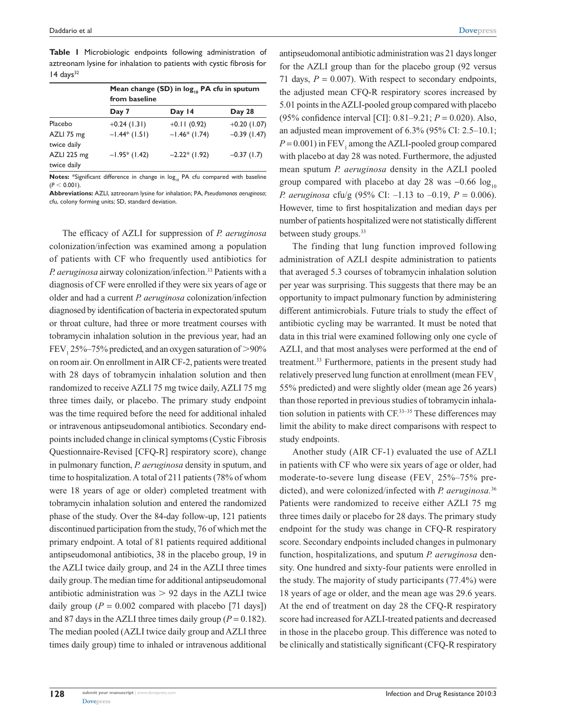|                            | Mean change (SD) in $log_{10}$ PA cfu in sputum<br>from baseline |                |                |  |
|----------------------------|------------------------------------------------------------------|----------------|----------------|--|
|                            | Day 7                                                            | Day 14         | Day 28         |  |
| Placebo                    | $+0.24$ (1.31)                                                   | $+0.11(0.92)$  | $+0.20$ (1.07) |  |
| AZLI 75 mg<br>twice daily  | $-1.44*(1.51)$                                                   | $-1.46*(1.74)$ | $-0.39(1.47)$  |  |
| AZLI 225 mg<br>twice daily | $-1.95*(1.42)$                                                   | $-2.22*(1.92)$ | $-0.37(1.7)$   |  |

**Table 1** Microbiologic endpoints following administration of aztreonam lysine for inhalation to patients with cystic fibrosis for  $14 \text{ days}^{32}$ 

Notes: \*Significant difference in change in log<sub>10</sub> PA cfu compared with baseline  $(P < 0.001)$ 

**Abbreviations:** AZLI, aztreonam lysine for inhalation; PA, *Pseudomonas aeruginosa*; cfu, colony forming units; SD, standard deviation.

The efficacy of AZLI for suppression of *P. aeruginosa* colonization/infection was examined among a population of patients with CF who frequently used antibiotics for *P. aeruginosa* airway colonization/infection.33 Patients with a diagnosis of CF were enrolled if they were six years of age or older and had a current *P. aeruginosa* colonization/infection diagnosed by identification of bacteria in expectorated sputum or throat culture, had three or more treatment courses with tobramycin inhalation solution in the previous year, had an  $FEV<sub>1</sub> 25%–75%$  predicted, and an oxygen saturation of  $>90%$ on room air. On enrollment in AIR CF-2, patients were treated with 28 days of tobramycin inhalation solution and then randomized to receive AZLI 75 mg twice daily, AZLI 75 mg three times daily, or placebo. The primary study endpoint was the time required before the need for additional inhaled or intravenous antipseudomonal antibiotics. Secondary endpoints included change in clinical symptoms (Cystic Fibrosis Questionnaire-Revised [CFQ-R] respiratory score), change in pulmonary function, *P. aeruginosa* density in sputum, and time to hospitalization. A total of 211 patients (78% of whom were 18 years of age or older) completed treatment with tobramycin inhalation solution and entered the randomized phase of the study. Over the 84-day follow-up, 121 patients discontinued participation from the study, 76 of which met the primary endpoint. A total of 81 patients required additional antipseudomonal antibiotics, 38 in the placebo group, 19 in the AZLI twice daily group, and 24 in the AZLI three times daily group. The median time for additional antipseudomonal antibiotic administration was  $> 92$  days in the AZLI twice daily group ( $P = 0.002$  compared with placebo [71 days]) and 87 days in the AZLI three times daily group ( $P = 0.182$ ). The median pooled (AZLI twice daily group and AZLI three times daily group) time to inhaled or intravenous additional

antipseudomonal antibiotic administration was 21 days longer for the AZLI group than for the placebo group (92 versus 71 days,  $P = 0.007$ ). With respect to secondary endpoints, the adjusted mean CFQ-R respiratory scores increased by 5.01 points in the AZLI-pooled group compared with placebo (95% confidence interval [CI]: 0.81–9.21; *P* = 0.020). Also, an adjusted mean improvement of 6.3% (95% CI: 2.5–10.1;  $P = 0.001$ ) in  $FEV_1$  among the AZLI-pooled group compared with placebo at day 28 was noted. Furthermore, the adjusted mean sputum *P. aeruginosa* density in the AZLI pooled group compared with placebo at day 28 was  $-0.66 \log_{10}$ *P. aeruginosa* cfu/g (95% CI: –1.13 to –0.19, *P* = 0.006). However, time to first hospitalization and median days per number of patients hospitalized were not statistically different between study groups.<sup>33</sup>

The finding that lung function improved following administration of AZLI despite administration to patients that averaged 5.3 courses of tobramycin inhalation solution per year was surprising. This suggests that there may be an opportunity to impact pulmonary function by administering different antimicrobials. Future trials to study the effect of antibiotic cycling may be warranted. It must be noted that data in this trial were examined following only one cycle of AZLI, and that most analyses were performed at the end of treatment.<sup>33</sup> Furthermore, patients in the present study had relatively preserved lung function at enrollment (mean FEV<sub>1</sub>) 55% predicted) and were slightly older (mean age 26 years) than those reported in previous studies of tobramycin inhalation solution in patients with CF.33–35 These differences may limit the ability to make direct comparisons with respect to study endpoints.

Another study (AIR CF-1) evaluated the use of AZLI in patients with CF who were six years of age or older, had moderate-to-severe lung disease  $(FEV<sub>1</sub> 25\% - 75\%$  predicted), and were colonized/infected with *P. aeruginosa.*<sup>36</sup> Patients were randomized to receive either AZLI 75 mg three times daily or placebo for 28 days. The primary study endpoint for the study was change in CFQ-R respiratory score. Secondary endpoints included changes in pulmonary function, hospitalizations, and sputum *P. aeruginosa* density. One hundred and sixty-four patients were enrolled in the study. The majority of study participants (77.4%) were 18 years of age or older, and the mean age was 29.6 years. At the end of treatment on day 28 the CFQ-R respiratory score had increased for AZLI-treated patients and decreased in those in the placebo group. This difference was noted to be clinically and statistically significant (CFQ-R respiratory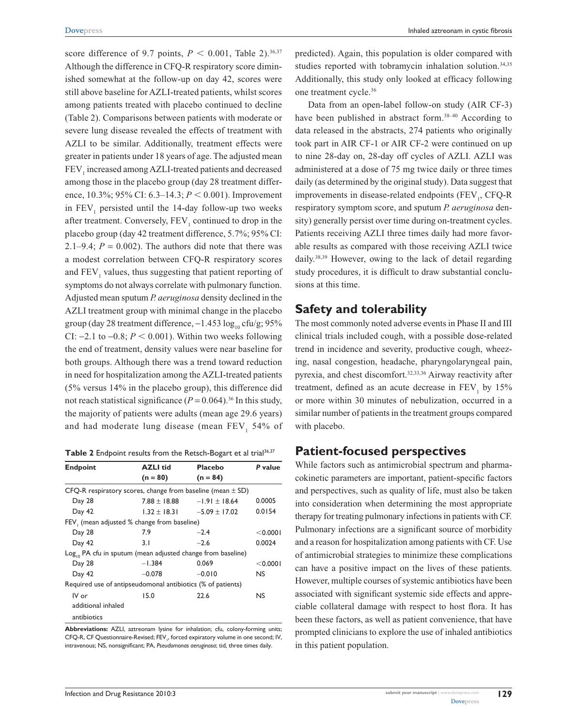score difference of 9.7 points,  $P < 0.001$ , Table 2).<sup>36,37</sup> Although the difference in CFQ-R respiratory score diminished somewhat at the follow-up on day 42, scores were still above baseline for AZLI-treated patients, whilst scores among patients treated with placebo continued to decline (Table 2). Comparisons between patients with moderate or severe lung disease revealed the effects of treatment with AZLI to be similar. Additionally, treatment effects were greater in patients under 18 years of age. The adjusted mean  ${\rm FEV}_1$  increased among AZLI-treated patients and decreased among those in the placebo group (day 28 treatment difference, 10.3%; 95% CI: 6.3–14.3;  $P \le 0.001$ ). Improvement in  $FEV<sub>1</sub>$  persisted until the 14-day follow-up two weeks after treatment. Conversely,  $\text{FEV}_1$  continued to drop in the placebo group (day 42 treatment difference, 5.7%; 95% CI: 2.1–9.4;  $P = 0.002$ ). The authors did note that there was a modest correlation between CFQ-R respiratory scores and  $\text{FEV}_1$  values, thus suggesting that patient reporting of symptoms do not always correlate with pulmonary function. Adjusted mean sputum *P. aeruginosa* density declined in the AZLI treatment group with minimal change in the placebo group (day 28 treatment difference,  $-1.453 \log_{10} c \frac{fu}{g}$ ; 95% CI:  $-2.1$  to  $-0.8$ ;  $P < 0.001$ ). Within two weeks following the end of treatment, density values were near baseline for both groups. Although there was a trend toward reduction in need for hospitalization among the AZLI-treated patients (5% versus 14% in the placebo group), this difference did not reach statistical significance  $(P = 0.064)$ .<sup>36</sup> In this study, the majority of patients were adults (mean age 29.6 years) and had moderate lung disease (mean  $\text{FEV}_1$  54% of

Table 2 Endpoint results from the Retsch-Bogart et al trial<sup>36,37</sup>

| <b>Endpoint</b>                                                         | <b>AZLI</b> tid                    | <b>Placebo</b>    | P value   |  |
|-------------------------------------------------------------------------|------------------------------------|-------------------|-----------|--|
|                                                                         | $(n = 80)$                         | $(n = 84)$        |           |  |
| CFQ-R respiratory scores, change from baseline (mean $\pm$ SD)          |                                    |                   |           |  |
| Day 28                                                                  | $7.88 \pm 18.88$                   | $-1.91 \pm 18.64$ | 0.0005    |  |
| Day 42                                                                  | $1.32 \pm 18.31 = -5.09 \pm 17.02$ |                   | 0.0154    |  |
| FEV (mean adjusted % change from baseline)                              |                                    |                   |           |  |
| Day 28                                                                  | 7.9                                | $-2.4$            | < 0.0001  |  |
| Day 42                                                                  | 3.1                                | $-2.6$            | 0.0024    |  |
| Log <sub>10</sub> PA cfu in sputum (mean adjusted change from baseline) |                                    |                   |           |  |
| Day 28                                                                  | $-1.384$                           | 0.069             | < 0.0001  |  |
| Day 42                                                                  | $-0.078$                           | $-0.010$          | <b>NS</b> |  |
| Required use of antipseudomonal antibiotics (% of patients)             |                                    |                   |           |  |
| IV or                                                                   | 15.0                               | 22.6              | <b>NS</b> |  |
| additional inhaled                                                      |                                    |                   |           |  |
| antibiotics                                                             |                                    |                   |           |  |

**Abbreviations:** AZLI, aztreonam lysine for inhalation; cfu, colony-forming units; CFQ-R, CF Questionnaire-Revised; FEV<sub>1</sub>, forced expiratory volume in one second; IV, intravenous; NS, nonsignificant; PA, *Pseudomonas aeruginosa*; tid, three times daily.

predicted). Again, this population is older compared with studies reported with tobramycin inhalation solution.<sup>34,35</sup> Additionally, this study only looked at efficacy following one treatment cycle.36

Data from an open-label follow-on study (AIR CF-3) have been published in abstract form.<sup>38-40</sup> According to data released in the abstracts, 274 patients who originally took part in AIR CF-1 or AIR CF-2 were continued on up to nine 28-day on, 28-day off cycles of AZLI. AZLI was administered at a dose of 75 mg twice daily or three times daily (as determined by the original study). Data suggest that improvements in disease-related endpoints (FEV<sub>1</sub>, CFQ-R respiratory symptom score, and sputum *P. aeruginosa* density) generally persist over time during on-treatment cycles. Patients receiving AZLI three times daily had more favorable results as compared with those receiving AZLI twice daily.38,39 However, owing to the lack of detail regarding study procedures, it is difficult to draw substantial conclusions at this time.

#### **Safety and tolerability**

The most commonly noted adverse events in Phase II and III clinical trials included cough, with a possible dose-related trend in incidence and severity, productive cough, wheezing, nasal congestion, headache, pharyngolaryngeal pain, pyrexia, and chest discomfort.<sup>32,33,36</sup> Airway reactivity after treatment, defined as an acute decrease in  $FEV<sub>1</sub>$  by 15% or more within 30 minutes of nebulization, occurred in a similar number of patients in the treatment groups compared with placebo.

## **Patient-focused perspectives**

While factors such as antimicrobial spectrum and pharmacokinetic parameters are important, patient-specific factors and perspectives, such as quality of life, must also be taken into consideration when determining the most appropriate therapy for treating pulmonary infections in patients with CF. Pulmonary infections are a significant source of morbidity and a reason for hospitalization among patients with CF. Use of antimicrobial strategies to minimize these complications can have a positive impact on the lives of these patients. However, multiple courses of systemic antibiotics have been associated with significant systemic side effects and appreciable collateral damage with respect to host flora. It has been these factors, as well as patient convenience, that have prompted clinicians to explore the use of inhaled antibiotics in this patient population.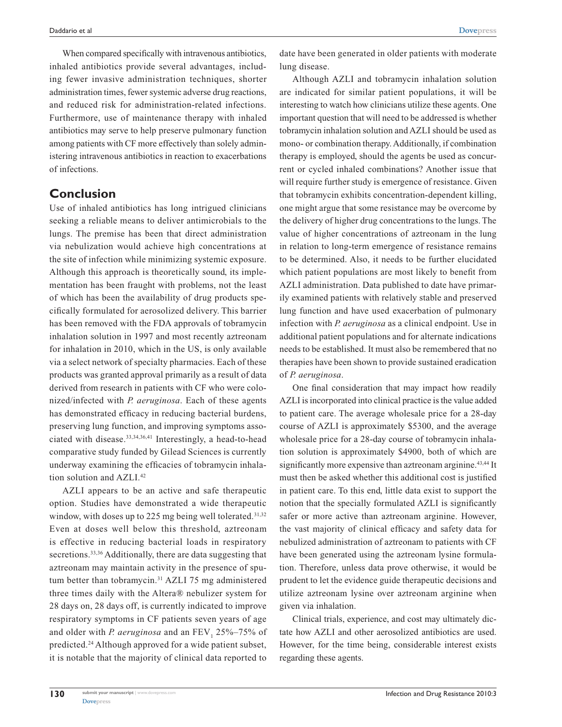**[Dovepress](www.dovepress.com)**

When compared specifically with intravenous antibiotics, inhaled antibiotics provide several advantages, including fewer invasive administration techniques, shorter administration times, fewer systemic adverse drug reactions, and reduced risk for administration-related infections. Furthermore, use of maintenance therapy with inhaled antibiotics may serve to help preserve pulmonary function among patients with CF more effectively than solely administering intravenous antibiotics in reaction to exacerbations of infections.

## **Conclusion**

Use of inhaled antibiotics has long intrigued clinicians seeking a reliable means to deliver antimicrobials to the lungs. The premise has been that direct administration via nebulization would achieve high concentrations at the site of infection while minimizing systemic exposure. Although this approach is theoretically sound, its implementation has been fraught with problems, not the least of which has been the availability of drug products specifically formulated for aerosolized delivery. This barrier has been removed with the FDA approvals of tobramycin inhalation solution in 1997 and most recently aztreonam for inhalation in 2010, which in the US, is only available via a select network of specialty pharmacies. Each of these products was granted approval primarily as a result of data derived from research in patients with CF who were colonized/infected with *P. aeruginosa*. Each of these agents has demonstrated efficacy in reducing bacterial burdens, preserving lung function, and improving symptoms associated with disease.<sup>33,34,36,41</sup> Interestingly, a head-to-head comparative study funded by Gilead Sciences is currently underway examining the efficacies of tobramycin inhalation solution and AZLI.<sup>42</sup>

AZLI appears to be an active and safe therapeutic option. Studies have demonstrated a wide therapeutic window, with doses up to 225 mg being well tolerated.<sup>31,32</sup> Even at doses well below this threshold, aztreonam is effective in reducing bacterial loads in respiratory secretions.<sup>33,36</sup> Additionally, there are data suggesting that aztreonam may maintain activity in the presence of sputum better than tobramycin.<sup>31</sup> AZLI 75 mg administered three times daily with the Altera® nebulizer system for 28 days on, 28 days off, is currently indicated to improve respiratory symptoms in CF patients seven years of age and older with *P. aeruginosa* and an  $\text{FEV}_1$  25%–75% of predicted.24 Although approved for a wide patient subset, it is notable that the majority of clinical data reported to

date have been generated in older patients with moderate lung disease.

Although AZLI and tobramycin inhalation solution are indicated for similar patient populations, it will be interesting to watch how clinicians utilize these agents. One important question that will need to be addressed is whether tobramycin inhalation solution and AZLI should be used as mono- or combination therapy. Additionally, if combination therapy is employed, should the agents be used as concurrent or cycled inhaled combinations? Another issue that will require further study is emergence of resistance. Given that tobramycin exhibits concentration-dependent killing, one might argue that some resistance may be overcome by the delivery of higher drug concentrations to the lungs. The value of higher concentrations of aztreonam in the lung in relation to long-term emergence of resistance remains to be determined. Also, it needs to be further elucidated which patient populations are most likely to benefit from AZLI administration. Data published to date have primarily examined patients with relatively stable and preserved lung function and have used exacerbation of pulmonary infection with *P. aeruginosa* as a clinical endpoint. Use in additional patient populations and for alternate indications needs to be established. It must also be remembered that no therapies have been shown to provide sustained eradication of *P. aeruginosa*.

One final consideration that may impact how readily AZLI is incorporated into clinical practice is the value added to patient care. The average wholesale price for a 28-day course of AZLI is approximately \$5300, and the average wholesale price for a 28-day course of tobramycin inhalation solution is approximately \$4900, both of which are significantly more expensive than aztreonam arginine.<sup>43,44</sup> It must then be asked whether this additional cost is justified in patient care. To this end, little data exist to support the notion that the specially formulated AZLI is significantly safer or more active than aztreonam arginine. However, the vast majority of clinical efficacy and safety data for nebulized administration of aztreonam to patients with CF have been generated using the aztreonam lysine formulation. Therefore, unless data prove otherwise, it would be prudent to let the evidence guide therapeutic decisions and utilize aztreonam lysine over aztreonam arginine when given via inhalation.

Clinical trials, experience, and cost may ultimately dictate how AZLI and other aerosolized antibiotics are used. However, for the time being, considerable interest exists regarding these agents.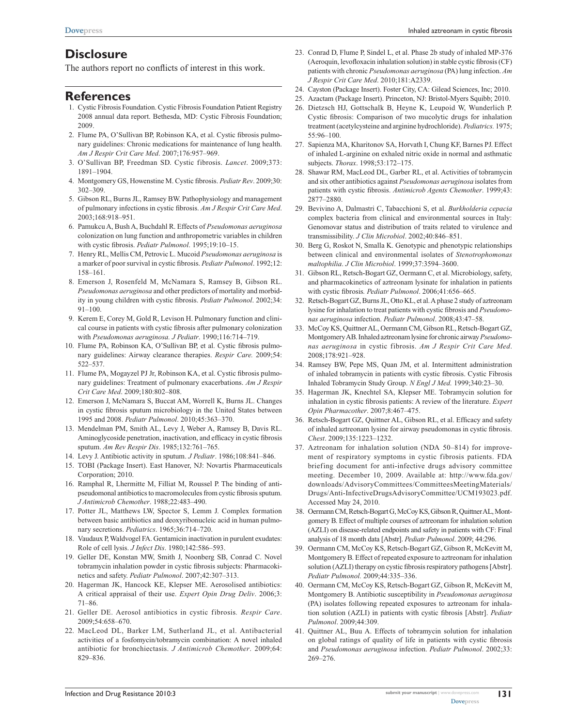## **Disclosure**

The authors report no conflicts of interest in this work.

#### **References**

- 1. Cystic Fibrosis Foundation. Cystic Fibrosis Foundation Patient Registry 2008 annual data report. Bethesda, MD: Cystic Fibrosis Foundation; 2009.
- 2. Flume PA, O'Sullivan BP, Robinson KA, et al. Cystic fibrosis pulmonary guidelines: Chronic medications for maintenance of lung health. *Am J Respir Crit Care Med*. 2007;176:957–969.
- 3. O'Sullivan BP, Freedman SD. Cystic fibrosis. *Lancet*. 2009;373: 1891–1904.
- 4. Montgomery GS, Howenstine M. Cystic fibrosis. *Pediatr Rev*. 2009;30: 302–309.
- 5. Gibson RL, Burns JL, Ramsey BW. Pathophysiology and management of pulmonary infections in cystic fibrosis. *Am J Respir Crit Care Med*. 2003;168:918–951.
- 6. Pamukcu A, Bush A, Buchdahl R. Effects of *Pseudomonas aeruginosa* colonization on lung function and anthropometric variables in children with cystic fibrosis. *Pediatr Pulmonol*. 1995;19:10–15.
- 7. Henry RL, Mellis CM, Petrovic L. Mucoid *Pseudomonas aeruginosa* is a marker of poor survival in cystic fibrosis. *Pediatr Pulmonol*. 1992;12: 158–161.
- 8. Emerson J, Rosenfeld M, McNamara S, Ramsey B, Gibson RL. *Pseudomonas aeruginosa* and other predictors of mortality and morbidity in young children with cystic fibrosis. *Pediatr Pulmonol*. 2002;34: 91–100.
- 9. Kerem E, Corey M, Gold R, Levison H. Pulmonary function and clinical course in patients with cystic fibrosis after pulmonary colonization with *Pseudomonas aeruginosa. J Pediatr*. 1990;116:714–719.
- 10. Flume PA, Robinson KA, O'Sullivan BP, et al. Cystic fibrosis pulmonary guidelines: Airway clearance therapies. *Respir Care.* 2009;54: 522–537.
- 11. Flume PA, Mogayzel PJ Jr, Robinson KA, et al. Cystic fibrosis pulmonary guidelines: Treatment of pulmonary exacerbations. *Am J Respir Crit Care Med*. 2009;180:802–808.
- 12. Emerson J, McNamara S, Buccat AM, Worrell K, Burns JL. Changes in cystic fibrosis sputum microbiology in the United States between 1995 and 2008. *Pediatr Pulmonol*. 2010;45:363–370.
- 13. Mendelman PM, Smith AL, Levy J, Weber A, Ramsey B, Davis RL. Aminoglycoside penetration, inactivation, and efficacy in cystic fibrosis sputum. *Am Rev Respir Dis*. 1985;132:761–765.
- 14. Levy J. Antibiotic activity in sputum. *J Pediatr*. 1986;108:841–846.
- 15. TOBI (Package Insert). East Hanover, NJ: Novartis Pharmaceuticals Corporation; 2010.
- 16. Ramphal R, Lhermitte M, Filliat M, Roussel P. The binding of antipseudomonal antibiotics to macromolecules from cystic fibrosis sputum. *J Antimicrob Chemother*. 1988;22:483–490.
- 17. Potter JL, Matthews LW, Spector S, Lemm J. Complex formation between basic antibiotics and deoxyribonucleic acid in human pulmonary secretions. *Pediatrics*. 1965;36:714–720.
- 18. Vaudaux P, Waldvogel FA. Gentamicin inactivation in purulent exudates: Role of cell lysis. *J Infect Dis*. 1980;142:586–593.
- 19. Geller DE, Konstan MW, Smith J, Noonberg SB, Conrad C. Novel tobramycin inhalation powder in cystic fibrosis subjects: Pharmacokinetics and safety. *Pediatr Pulmonol*. 2007;42:307–313.
- 20. Hagerman JK, Hancock KE, Klepser ME. Aerosolised antibiotics: A critical appraisal of their use. *Expert Opin Drug Deliv*. 2006;3: 71–86.
- 21. Geller DE. Aerosol antibiotics in cystic fibrosis*. Respir Care*. 2009;54:658–670.
- 22. MacLeod DL, Barker LM, Sutherland JL, et al. Antibacterial activities of a fosfomycin/tobramycin combination: A novel inhaled antibiotic for bronchiectasis. *J Antimicrob Chemother*. 2009;64: 829–836.
- 23. Conrad D, Flume P, Sindel L, et al. Phase 2b study of inhaled MP-376 (Aeroquin, levofloxacin inhalation solution) in stable cystic fibrosis (CF) patients with chronic *Pseudomonas aeruginosa* (PA) lung infection. *Am J Respir Crit Care Med*. 2010;181:A2339.
- 24. Cayston (Package Insert). Foster City, CA: Gilead Sciences, Inc; 2010.
- 25. Azactam (Package Insert). Princeton, NJ: Bristol-Myers Squibb; 2010.
- 26. Dietzsch HJ, Gottschalk B, Heyne K, Leupoid W, Wunderlich P. Cystic fibrosis: Comparison of two mucolytic drugs for inhalation treatment (acetylcysteine and arginine hydrochloride). *Pediatrics.* 1975; 55:96–100.
- 27. Sapienza MA, Kharitonov SA, Horvath I, Chung KF, Barnes PJ. Effect of inhaled L-arginine on exhaled nitric oxide in normal and asthmatic subjects. *Thorax*. 1998;53:172–175.
- 28. Shawar RM, MacLeod DL, Garber RL, et al. Activities of tobramycin and six other antibiotics against *Pseudomonas aeruginosa* isolates from patients with cystic fibrosis. *Antimicrob Agents Chemother*. 1999;43: 2877–2880.
- 29. Bevivino A, Dalmastri C, Tabacchioni S, et al. *Burkholderia cepacia* complex bacteria from clinical and environmental sources in Italy: Genomovar status and distribution of traits related to virulence and transmissibility. *J Clin Microbiol*. 2002;40:846–851.
- 30. Berg G, Roskot N, Smalla K. Genotypic and phenotypic relationships between clinical and environmental isolates of *Stenotrophomonas maltophilia*. *J Clin Microbiol*. 1999;37:3594–3600.
- 31. Gibson RL, Retsch-Bogart GZ, Oermann C, et al. Microbiology, safety, and pharmacokinetics of aztreonam lysinate for inhalation in patients with cystic fibrosis*. Pediatr Pulmonol*. 2006;41:656–665.
- 32. Retsch-Bogart GZ, Burns JL, Otto KL, et al. A phase 2 study of aztreonam lysine for inhalation to treat patients with cystic fibrosis and *Pseudomonas aeruginosa* infection. *Pediatr Pulmonol*. 2008;43:47–58.
- 33. McCoy KS, Quittner AL, Oermann CM, Gibson RL, Retsch-Bogart GZ, Montgomery AB. Inhaled aztreonam lysine for chronic airway *Pseudomonas aeruginosa* in cystic fibrosis. *Am J Respir Crit Care Med*. 2008;178:921–928.
- 34. Ramsey BW, Pepe MS, Quan JM, et al. Intermittent administration of inhaled tobramycin in patients with cystic fibrosis. Cystic Fibrosis Inhaled Tobramycin Study Group. *N Engl J Med.* 1999;340:23–30.
- 35. Hagerman JK, Knechtel SA, Klepser ME. Tobramycin solution for inhalation in cystic fibrosis patients: A review of the literature. *Expert Opin Pharmacother*. 2007;8:467–475.
- 36. Retsch-Bogart GZ, Quittner AL, Gibson RL, et al. Efficacy and safety of inhaled aztreonam lysine for airway pseudomonas in cystic fibrosis. *Chest*. 2009;135:1223–1232.
- 37. Aztreonam for inhalation solution (NDA 50–814) for improvement of respiratory symptoms in cystic fibrosis patients. FDA briefing document for anti-infective drugs advisory committee meeting. December 10, 2009. Available at: [http://www.fda.gov/](http://www.fda.gov/downloads/AdvisoryCommittees/CommitteesMeetingMaterials/Drugs/Anti-InfectiveDrugsAdvisoryCommittee/UCM193023.pdf.) [downloads/AdvisoryCommittees/CommitteesMeetingMaterials/](http://www.fda.gov/downloads/AdvisoryCommittees/CommitteesMeetingMaterials/Drugs/Anti-InfectiveDrugsAdvisoryCommittee/UCM193023.pdf.) [Drugs/Anti-InfectiveDrugsAdvisoryCommittee/UCM193023.pdf.](http://www.fda.gov/downloads/AdvisoryCommittees/CommitteesMeetingMaterials/Drugs/Anti-InfectiveDrugsAdvisoryCommittee/UCM193023.pdf.) Accessed May 24, 2010.
- 38. Oermann CM, Retsch-Bogart G, McCoy KS, Gibson R, Quittner AL, Montgomery B. Effect of multiple courses of aztreonam for inhalation solution (AZLI) on disease-related endpoints and safety in patients with CF: Final analysis of 18 month data [Abstr]. *Pediatr Pulmonol*. 2009; 44:296.
- 39. Oermann CM, McCoy KS, Retsch-Bogart GZ, Gibson R, McKevitt M, Montgomery B. Effect of repeated exposure to aztreonam for inhalation solution (AZLI) therapy on cystic fibrosis respiratory pathogens [Abstr]. *Pediatr Pulmonol.* 2009;44:335–336.
- 40. Oermann CM, McCoy KS, Retsch-Bogart GZ, Gibson R, McKevitt M, Montgomery B. Antibiotic susceptibility in *Pseudomonas aeruginosa* (PA) isolates following repeated exposures to aztreonam for inhalation solution (AZLI) in patients with cystic fibrosis [Abstr]. *Pediatr Pulmonol*. 2009;44:309.
- 41. Quittner AL, Buu A. Effects of tobramycin solution for inhalation on global ratings of quality of life in patients with cystic fibrosis and *Pseudomonas aeruginosa* infection. *Pediatr Pulmonol*. 2002;33: 269–276.